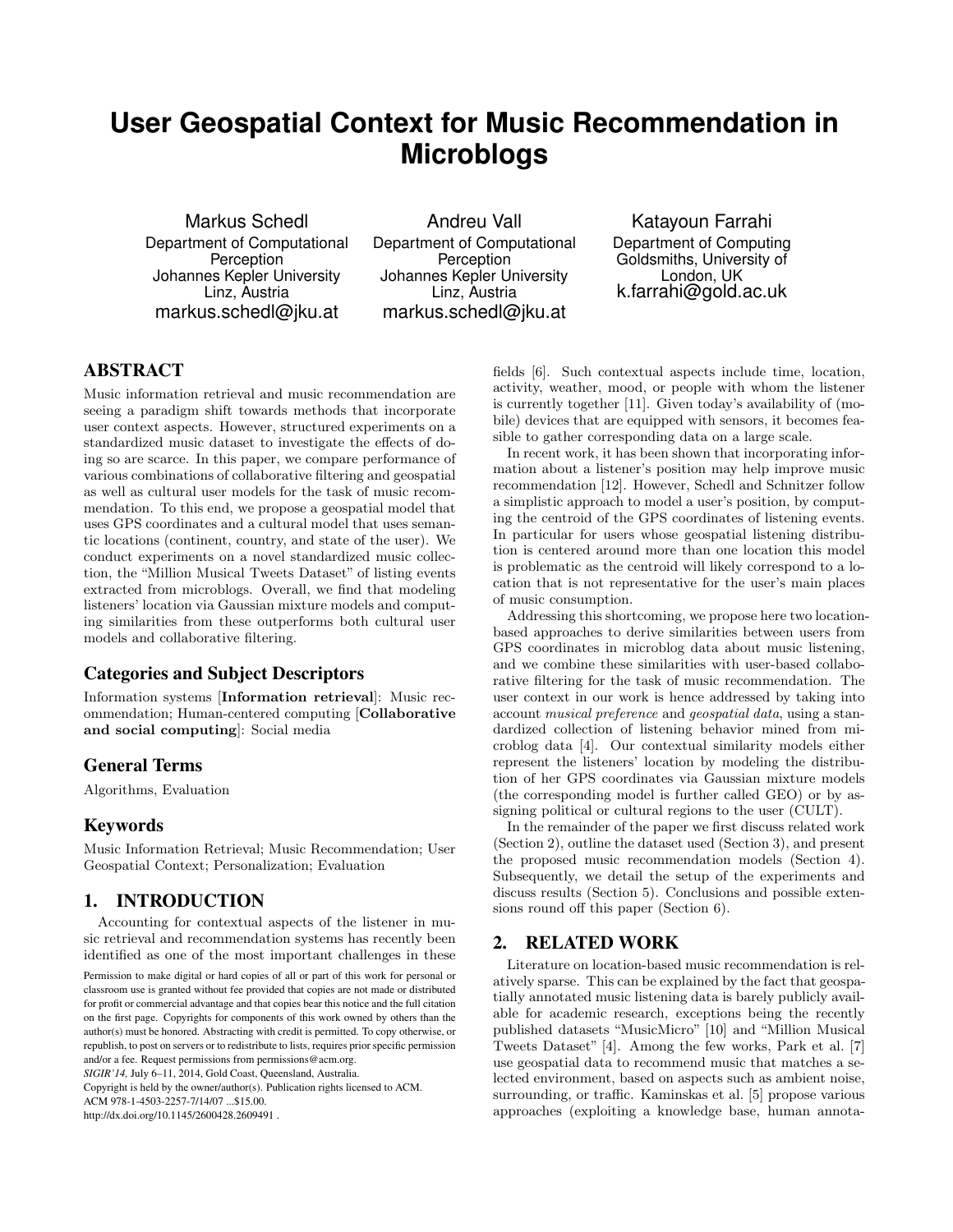# **User Geospatial Context for Music Recommendation in Microblogs**

Markus Schedl Department of Computational **Perception** Johannes Kepler University Linz, Austria markus.schedl@jku.at

Andreu Vall Department of Computational **Perception** Johannes Kepler University Linz, Austria markus.schedl@jku.at

Katayoun Farrahi Department of Computing Goldsmiths, University of London, UK k.farrahi@gold.ac.uk

# ABSTRACT

Music information retrieval and music recommendation are seeing a paradigm shift towards methods that incorporate user context aspects. However, structured experiments on a standardized music dataset to investigate the effects of doing so are scarce. In this paper, we compare performance of various combinations of collaborative filtering and geospatial as well as cultural user models for the task of music recommendation. To this end, we propose a geospatial model that uses GPS coordinates and a cultural model that uses semantic locations (continent, country, and state of the user). We conduct experiments on a novel standardized music collection, the "Million Musical Tweets Dataset" of listing events extracted from microblogs. Overall, we find that modeling listeners' location via Gaussian mixture models and computing similarities from these outperforms both cultural user models and collaborative filtering.

## Categories and Subject Descriptors

Information systems [Information retrieval]: Music recommendation; Human-centered computing [Collaborative and social computing]: Social media

# General Terms

Algorithms, Evaluation

## Keywords

Music Information Retrieval; Music Recommendation; User Geospatial Context; Personalization; Evaluation

# 1. INTRODUCTION

Accounting for contextual aspects of the listener in music retrieval and recommendation systems has recently been identified as one of the most important challenges in these

Permission to make digital or hard copies of all or part of this work for personal or classroom use is granted without fee provided that copies are not made or distributed for profit or commercial advantage and that copies bear this notice and the full citation on the first page. Copyrights for components of this work owned by others than the author(s) must be honored. Abstracting with credit is permitted. To copy otherwise, or republish, to post on servers or to redistribute to lists, requires prior specific permission and/or a fee. Request permissions from permissions@acm.org.

*SIGIR'14,* July 6–11, 2014, Gold Coast, Queensland, Australia.

Copyright is held by the owner/author(s). Publication rights licensed to ACM. ACM 978-1-4503-2257-7/14/07 ...\$15.00.

http://dx.doi.org/10.1145/2600428.2609491 .

fields [6]. Such contextual aspects include time, location, activity, weather, mood, or people with whom the listener is currently together [11]. Given today's availability of (mobile) devices that are equipped with sensors, it becomes feasible to gather corresponding data on a large scale.

In recent work, it has been shown that incorporating information about a listener's position may help improve music recommendation [12]. However, Schedl and Schnitzer follow a simplistic approach to model a user's position, by computing the centroid of the GPS coordinates of listening events. In particular for users whose geospatial listening distribution is centered around more than one location this model is problematic as the centroid will likely correspond to a location that is not representative for the user's main places of music consumption.

Addressing this shortcoming, we propose here two locationbased approaches to derive similarities between users from GPS coordinates in microblog data about music listening, and we combine these similarities with user-based collaborative filtering for the task of music recommendation. The user context in our work is hence addressed by taking into account musical preference and geospatial data, using a standardized collection of listening behavior mined from microblog data [4]. Our contextual similarity models either represent the listeners' location by modeling the distribution of her GPS coordinates via Gaussian mixture models (the corresponding model is further called GEO) or by assigning political or cultural regions to the user (CULT).

In the remainder of the paper we first discuss related work (Section 2), outline the dataset used (Section 3), and present the proposed music recommendation models (Section 4). Subsequently, we detail the setup of the experiments and discuss results (Section 5). Conclusions and possible extensions round off this paper (Section 6).

#### 2. RELATED WORK

Literature on location-based music recommendation is relatively sparse. This can be explained by the fact that geospatially annotated music listening data is barely publicly available for academic research, exceptions being the recently published datasets "MusicMicro" [10] and "Million Musical Tweets Dataset" [4]. Among the few works, Park et al. [7] use geospatial data to recommend music that matches a selected environment, based on aspects such as ambient noise, surrounding, or traffic. Kaminskas et al. [5] propose various approaches (exploiting a knowledge base, human annota-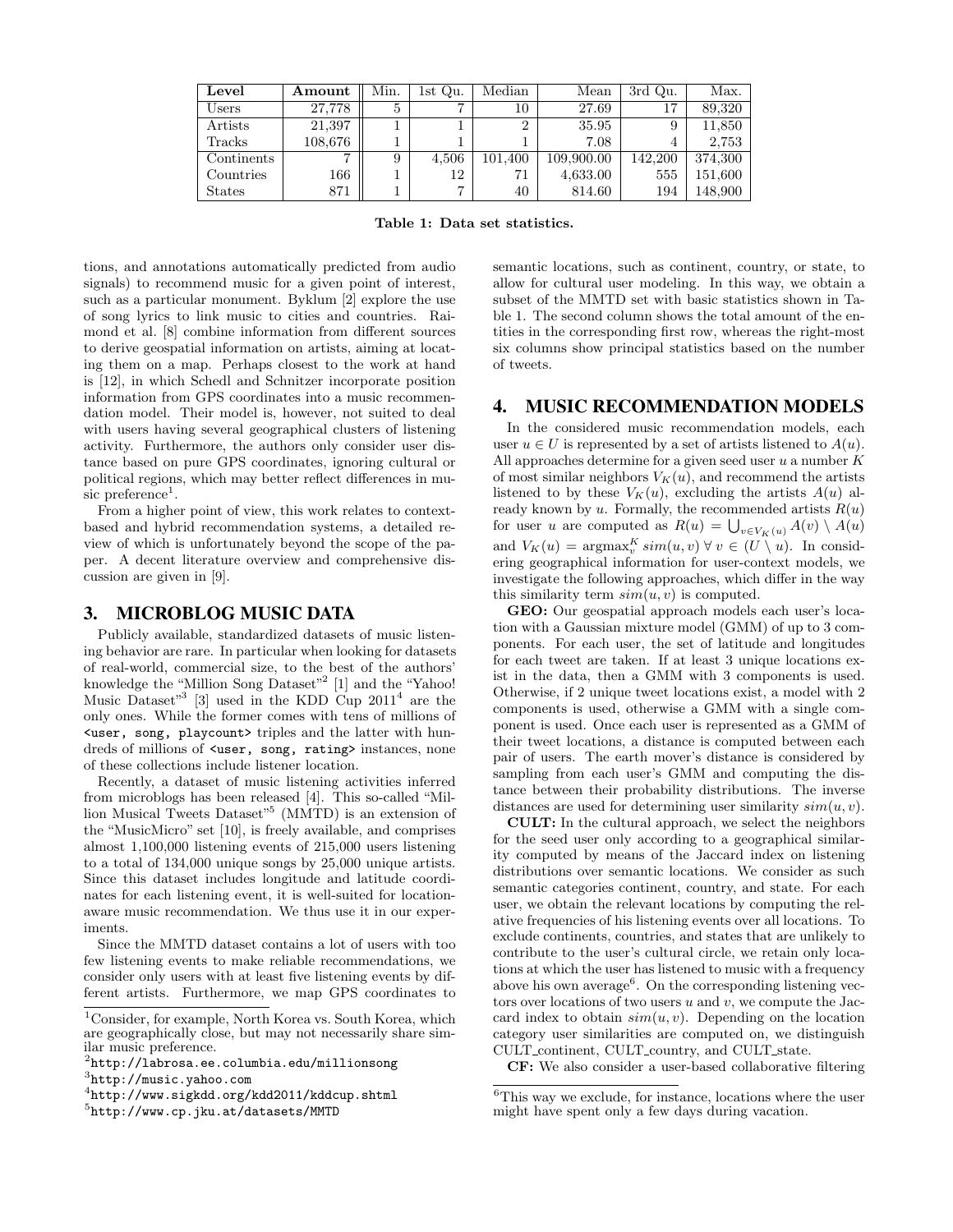| Level         | $\bold{Amount}$ | Min.         | 1st Qu. | Median  | Mean       | 3rd Qu. | Max.    |
|---------------|-----------------|--------------|---------|---------|------------|---------|---------|
| Users         | 27.778          | <sub>5</sub> |         | 10      | 27.69      | 17      | 89,320  |
| Artists       | 21,397          |              |         | 2       | 35.95      | 9       | 11,850  |
| Tracks        | 108,676         |              |         |         | 7.08       | 4       | 2,753   |
| Continents    | $\overline{ }$  | 9            | 4,506   | 101,400 | 109,900.00 | 142,200 | 374,300 |
| Countries     | 166             |              | 12      | 71      | 4,633.00   | 555     | 151,600 |
| <b>States</b> | 871             |              |         | 40      | 814.60     | 194     | 148,900 |

Table 1: Data set statistics.

tions, and annotations automatically predicted from audio signals) to recommend music for a given point of interest, such as a particular monument. Byklum [2] explore the use of song lyrics to link music to cities and countries. Raimond et al. [8] combine information from different sources to derive geospatial information on artists, aiming at locating them on a map. Perhaps closest to the work at hand is [12], in which Schedl and Schnitzer incorporate position information from GPS coordinates into a music recommendation model. Their model is, however, not suited to deal with users having several geographical clusters of listening activity. Furthermore, the authors only consider user distance based on pure GPS coordinates, ignoring cultural or political regions, which may better reflect differences in music preference<sup>1</sup>.

From a higher point of view, this work relates to contextbased and hybrid recommendation systems, a detailed review of which is unfortunately beyond the scope of the paper. A decent literature overview and comprehensive discussion are given in [9].

#### 3. MICROBLOG MUSIC DATA

Publicly available, standardized datasets of music listening behavior are rare. In particular when looking for datasets of real-world, commercial size, to the best of the authors' knowledge the "Million Song Dataset"<sup>2</sup> [1] and the "Yahoo! Music Dataset<sup>3</sup> [3] used in the KDD Cup  $2011<sup>4</sup>$  are the only ones. While the former comes with tens of millions of <user, song, playcount> triples and the latter with hundreds of millions of  $\langle$ user, song, rating> instances, none of these collections include listener location.

Recently, a dataset of music listening activities inferred from microblogs has been released [4]. This so-called "Million Musical Tweets Dataset"<sup>5</sup> (MMTD) is an extension of the "MusicMicro" set [10], is freely available, and comprises almost 1,100,000 listening events of 215,000 users listening to a total of 134,000 unique songs by 25,000 unique artists. Since this dataset includes longitude and latitude coordinates for each listening event, it is well-suited for locationaware music recommendation. We thus use it in our experiments.

Since the MMTD dataset contains a lot of users with too few listening events to make reliable recommendations, we consider only users with at least five listening events by different artists. Furthermore, we map GPS coordinates to semantic locations, such as continent, country, or state, to allow for cultural user modeling. In this way, we obtain a subset of the MMTD set with basic statistics shown in Table 1. The second column shows the total amount of the entities in the corresponding first row, whereas the right-most six columns show principal statistics based on the number of tweets.

## 4. MUSIC RECOMMENDATION MODELS

In the considered music recommendation models, each user  $u \in U$  is represented by a set of artists listened to  $A(u)$ . All approaches determine for a given seed user  $u$  a number  $K$ of most similar neighbors  $V_K(u)$ , and recommend the artists listened to by these  $V_K(u)$ , excluding the artists  $A(u)$  already known by  $u$ . Formally, the recommended artists  $R(u)$ for user u are computed as  $R(u) = \bigcup_{v \in V_K(u)} A(v) \setminus A(u)$ and  $V_K(u) = \text{argmax}_{v}^K \text{sim}(u, v) \ \forall \ v \in (U \setminus u)$ . In considering geographical information for user-context models, we investigate the following approaches, which differ in the way this similarity term  $sim(u, v)$  is computed.

GEO: Our geospatial approach models each user's location with a Gaussian mixture model (GMM) of up to 3 components. For each user, the set of latitude and longitudes for each tweet are taken. If at least 3 unique locations exist in the data, then a GMM with 3 components is used. Otherwise, if 2 unique tweet locations exist, a model with 2 components is used, otherwise a GMM with a single component is used. Once each user is represented as a GMM of their tweet locations, a distance is computed between each pair of users. The earth mover's distance is considered by sampling from each user's GMM and computing the distance between their probability distributions. The inverse distances are used for determining user similarity  $sim(u, v)$ .

CULT: In the cultural approach, we select the neighbors for the seed user only according to a geographical similarity computed by means of the Jaccard index on listening distributions over semantic locations. We consider as such semantic categories continent, country, and state. For each user, we obtain the relevant locations by computing the relative frequencies of his listening events over all locations. To exclude continents, countries, and states that are unlikely to contribute to the user's cultural circle, we retain only locations at which the user has listened to music with a frequency above his own average<sup>6</sup>. On the corresponding listening vectors over locations of two users  $u$  and  $v$ , we compute the Jaccard index to obtain  $sim(u, v)$ . Depending on the location category user similarities are computed on, we distinguish CULT continent, CULT country, and CULT state.

CF: We also consider a user-based collaborative filtering

<sup>1</sup>Consider, for example, North Korea vs. South Korea, which are geographically close, but may not necessarily share similar music preference.

 $^{2}$ http://labrosa.ee.columbia.edu/millionsong

<sup>3</sup> http://music.yahoo.com

<sup>4</sup> http://www.sigkdd.org/kdd2011/kddcup.shtml

<sup>5</sup> http://www.cp.jku.at/datasets/MMTD

 ${}^{6}$ This way we exclude, for instance, locations where the user might have spent only a few days during vacation.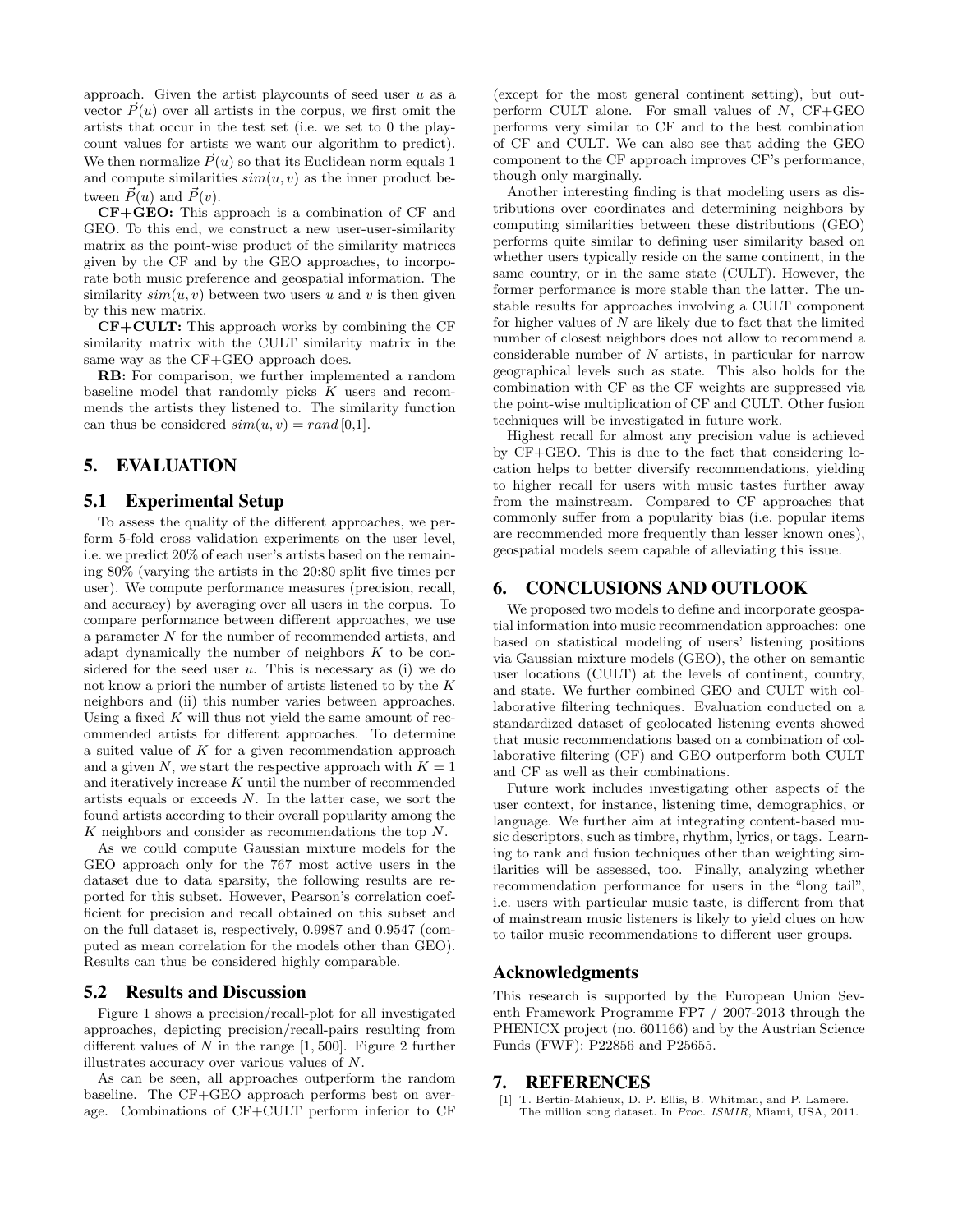approach. Given the artist playcounts of seed user  $u$  as a vector  $\vec{P}(u)$  over all artists in the corpus, we first omit the artists that occur in the test set (i.e. we set to 0 the playcount values for artists we want our algorithm to predict). We then normalize  $\vec{P}(u)$  so that its Euclidean norm equals 1 and compute similarities  $sim(u, v)$  as the inner product between  $\vec{P}(u)$  and  $\vec{P}(v)$ .

CF+GEO: This approach is a combination of CF and GEO. To this end, we construct a new user-user-similarity matrix as the point-wise product of the similarity matrices given by the CF and by the GEO approaches, to incorporate both music preference and geospatial information. The similarity  $sim(u, v)$  between two users u and v is then given by this new matrix.

CF+CULT: This approach works by combining the CF similarity matrix with the CULT similarity matrix in the same way as the CF+GEO approach does.

RB: For comparison, we further implemented a random baseline model that randomly picks K users and recommends the artists they listened to. The similarity function can thus be considered  $sim(u, v) = rand[0, 1]$ .

# 5. EVALUATION

#### 5.1 Experimental Setup

To assess the quality of the different approaches, we perform 5-fold cross validation experiments on the user level, i.e. we predict 20% of each user's artists based on the remaining 80% (varying the artists in the 20:80 split five times per user). We compute performance measures (precision, recall, and accuracy) by averaging over all users in the corpus. To compare performance between different approaches, we use a parameter N for the number of recommended artists, and adapt dynamically the number of neighbors K to be considered for the seed user  $u$ . This is necessary as (i) we do not know a priori the number of artists listened to by the  $K$ neighbors and (ii) this number varies between approaches. Using a fixed  $K$  will thus not yield the same amount of recommended artists for different approaches. To determine a suited value of  $K$  for a given recommendation approach and a given N, we start the respective approach with  $K = 1$ and iteratively increase K until the number of recommended artists equals or exceeds N. In the latter case, we sort the found artists according to their overall popularity among the K neighbors and consider as recommendations the top N.

As we could compute Gaussian mixture models for the GEO approach only for the 767 most active users in the dataset due to data sparsity, the following results are reported for this subset. However, Pearson's correlation coefficient for precision and recall obtained on this subset and on the full dataset is, respectively, 0.9987 and 0.9547 (computed as mean correlation for the models other than GEO). Results can thus be considered highly comparable.

### 5.2 Results and Discussion

Figure 1 shows a precision/recall-plot for all investigated approaches, depicting precision/recall-pairs resulting from different values of N in the range  $[1, 500]$ . Figure 2 further illustrates accuracy over various values of N.

As can be seen, all approaches outperform the random baseline. The CF+GEO approach performs best on average. Combinations of CF+CULT perform inferior to CF (except for the most general continent setting), but outperform CULT alone. For small values of  $N$ ,  $CF + GEO$ performs very similar to CF and to the best combination of CF and CULT. We can also see that adding the GEO component to the CF approach improves CF's performance, though only marginally.

Another interesting finding is that modeling users as distributions over coordinates and determining neighbors by computing similarities between these distributions (GEO) performs quite similar to defining user similarity based on whether users typically reside on the same continent, in the same country, or in the same state (CULT). However, the former performance is more stable than the latter. The unstable results for approaches involving a CULT component for higher values of  $N$  are likely due to fact that the limited number of closest neighbors does not allow to recommend a considerable number of N artists, in particular for narrow geographical levels such as state. This also holds for the combination with CF as the CF weights are suppressed via the point-wise multiplication of CF and CULT. Other fusion techniques will be investigated in future work.

Highest recall for almost any precision value is achieved by CF+GEO. This is due to the fact that considering location helps to better diversify recommendations, yielding to higher recall for users with music tastes further away from the mainstream. Compared to CF approaches that commonly suffer from a popularity bias (i.e. popular items are recommended more frequently than lesser known ones), geospatial models seem capable of alleviating this issue.

### 6. CONCLUSIONS AND OUTLOOK

We proposed two models to define and incorporate geospatial information into music recommendation approaches: one based on statistical modeling of users' listening positions via Gaussian mixture models (GEO), the other on semantic user locations (CULT) at the levels of continent, country, and state. We further combined GEO and CULT with collaborative filtering techniques. Evaluation conducted on a standardized dataset of geolocated listening events showed that music recommendations based on a combination of collaborative filtering (CF) and GEO outperform both CULT and CF as well as their combinations.

Future work includes investigating other aspects of the user context, for instance, listening time, demographics, or language. We further aim at integrating content-based music descriptors, such as timbre, rhythm, lyrics, or tags. Learning to rank and fusion techniques other than weighting similarities will be assessed, too. Finally, analyzing whether recommendation performance for users in the "long tail", i.e. users with particular music taste, is different from that of mainstream music listeners is likely to yield clues on how to tailor music recommendations to different user groups.

### Acknowledgments

This research is supported by the European Union Seventh Framework Programme FP7 / 2007-2013 through the PHENICX project (no. 601166) and by the Austrian Science Funds (FWF): P22856 and P25655.

#### 7. REFERENCES

[1] T. Bertin-Mahieux, D. P. Ellis, B. Whitman, and P. Lamere. The million song dataset. In Proc. ISMIR, Miami, USA, 2011.